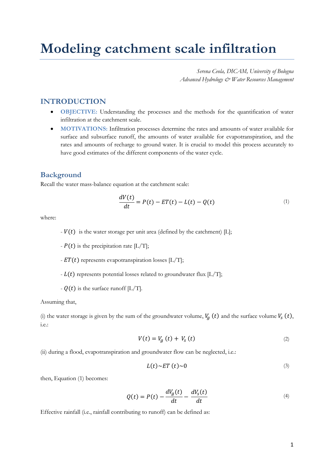# **Modeling catchment scale infiltration**

*Serena Ceola, DICAM, University of Bologna Advanced Hydrology & Water Resources Management*

## **INTRODUCTION**

- **OBJECTIVE:** Understanding the processes and the methods for the quantification of water infiltration at the catchment scale.
- **MOTIVATIONS:** Infiltration processes determine the rates and amounts of water available for surface and subsurface runoff, the amounts of water available for evapotranspiration, and the rates and amounts of recharge to ground water. It is crucial to model this process accurately to have good estimates of the different components of the water cycle.

### **Background**

Recall the water mass-balance equation at the catchment scale:

$$
\frac{dV(t)}{dt} = P(t) - ET(t) - L(t) - Q(t) \tag{1}
$$

where:

- $-V(t)$  is the water storage per unit area (defined by the catchment) [L];
- $-P(t)$  is the precipitation rate [L/T];
- $ET(t)$  represents evapotranspiration losses [L/T];
- $-L(t)$  represents potential losses related to groundwater flux  $[L/T]$ ;
- $Q(t)$  is the surface runoff [L/T].

#### Assuming that,

(i) the water storage is given by the sum of the groundwater volume,  $V_g(t)$  and the surface volume  $V_s(t)$ , i.e.:

$$
V(t) = V_a(t) + V_s(t)
$$
\n<sup>(2)</sup>

(ii) during a flood, evapotranspiration and groundwater flow can be neglected, i.e.:

$$
L(t) \sim ET(t) \sim 0 \tag{3}
$$

then, Equation (1) becomes:

$$
Q(t) = P(t) - \frac{dV_g(t)}{dt} - \frac{dV_s(t)}{dt}
$$
\n<sup>(4)</sup>

Effective rainfall (i.e., rainfall contributing to runoff) can be defined as: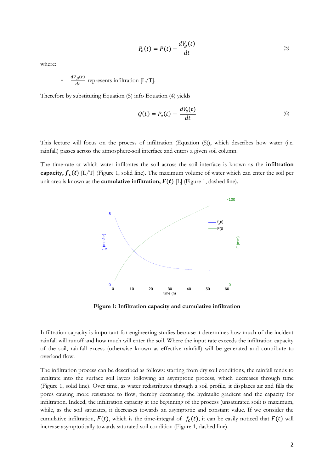$$
P_e(t) = P(t) - \frac{dV_g(t)}{dt}
$$
\n<sup>(5)</sup>

where:

- 
$$
\frac{dV_g(t)}{dt}
$$
 represents inflation [L/T].

Therefore by substituting Equation (5) info Equation (4) yields

$$
Q(t) = P_e(t) - \frac{dV_s(t)}{dt}
$$
\n<sup>(6)</sup>

This lecture will focus on the process of infiltration (Equation (5)), which describes how water (i.e. rainfall) passes across the atmosphere-soil interface and enters a given soil column.

The time-rate at which water infiltrates the soil across the soil interface is known as the **infiltration capacity,**  $f_c(t)$  [L/T] (Figure 1, solid line). The maximum volume of water which can enter the soil per unit area is known as the **cumulative infiltration,**  $F(t)$  [L] (Figure 1, dashed line).



**Figure 1: Infiltration capacity and cumulative infiltration**

Infiltration capacity is important for engineering studies because it determines how much of the incident rainfall will runoff and how much will enter the soil. Where the input rate exceeds the infiltration capacity of the soil, rainfall excess (otherwise known as effective rainfall) will be generated and contribute to overland flow.

The infiltration process can be described as follows: starting from dry soil conditions, the rainfall tends to infiltrate into the surface soil layers following an asymptotic process, which decreases through time (Figure 1, solid line). Over time, as water redistributes through a soil profile, it displaces air and fills the pores causing more resistance to flow, thereby decreasing the hydraulic gradient and the capacity for infiltration. Indeed, the infiltration capacity at the beginning of the process (unsaturated soil) is maximum, while, as the soil saturates, it decreases towards an asymptotic and constant value. If we consider the cumulative infiltration,  $F(t)$ , which is the time-integral of  $f_c(t)$ , it can be easily noticed that  $F(t)$  will increase asymptotically towards saturated soil condition (Figure 1, dashed line).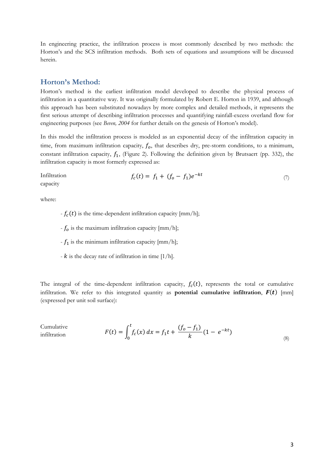In engineering practice, the infiltration process is most commonly described by two methods: the Horton's and the SCS infiltration methods. Both sets of equations and assumptions will be discussed herein.

## **Horton's Method:**

Horton's method is the earliest infiltration model developed to describe the physical process of infiltration in a quantitative way. It was originally formulated by Robert E. Horton in 1939, and although this approach has been substituted nowadays by more complex and detailed methods, it represents the first serious attempt of describing infiltration processes and quantifying rainfall-excess overland flow for engineering purposes (see *Beven, 2004* for further details on the genesis of Horton's model).

In this model the infiltration process is modeled as an exponential decay of the infiltration capacity in time, from maximum infiltration capacity,  $f_0$ , that describes dry, pre-storm conditions, to a minimum, constant infiltration capacity,  $f_1$ , (Figure 2). Following the definition given by Brutsaert (pp. 332), the infiltration capacity is most formerly expressed as:

Infiltration capacity (7)

where:

 $-f_c(t)$  is the time-dependent infiltration capacity [mm/h];

-  $f_0$  is the maximum infiltration capacity [mm/h];

 $-f_1$  is the minimum infiltration capacity [mm/h];

 $-k$  is the decay rate of infiltration in time [1/h].

The integral of the time-dependent infiltration capacity,  $f_c(t)$ , represents the total or cumulative infiltration. We refer to this integrated quantity as **potential cumulative infiltration**,  $F(t)$  [mm] (expressed per unit soil surface):

Cumulative infiltration

$$
(t) = \int_0^t f_c(x) dx = f_1 t + \frac{(f_o - f_1)}{k} (1 - e^{-kt})
$$
\n(8)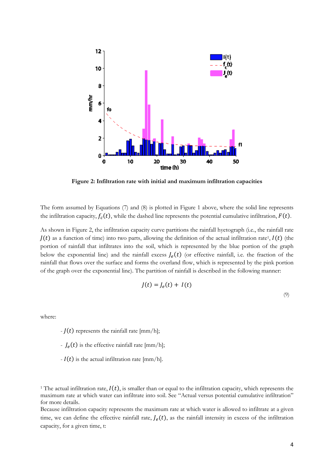

**Figure 2: Infiltration rate with initial and maximum infiltration capacities**

The form assumed by Equations (7) and (8) is plotted in Figure 1 above, where the solid line represents the infiltration capacity,  $f_c(t)$ , while the dashed line represents the potential cumulative infiltration,  $F(t)$ .

As shown in Figure 2, the infiltration capacity curve partitions the rainfall hyetograph (i.e., the rainfall rate  $J(t)$  as a function of time) into two parts, allowing the definition of the actual infiltration rate<sup>1</sup>,  $I(t)$  (the portion of rainfall that infiltrates into the soil, which is represented by the blue portion of the graph below the exponential line) and the rainfall excess  $J_e(t)$  (or effective rainfall, i.e. the fraction of the rainfall that flows over the surface and forms the overland flow, which is represented by the pink portion of the graph over the exponential line). The partition of rainfall is described in the following manner:

$$
J(t) = J_e(t) + I(t)
$$
\n(9)

where:

 $-I(t)$  represents the rainfall rate [mm/h];

- $J_e(t)$  is the effective rainfall rate [mm/h];
- $-I(t)$  is the actual infiltration rate [mm/h].

Because infiltration capacity represents the maximum rate at which water is allowed to infiltrate at a given time, we can define the effective rainfall rate,  $J_e(t)$ , as the rainfall intensity in excess of the infiltration capacity, for a given time, t:

<sup>&</sup>lt;sup>1</sup> The actual infiltration rate,  $I(t)$ , is smaller than or equal to the infiltration capacity, which represents the maximum rate at which water can infiltrate into soil. See "Actual versus potential cumulative infiltration" for more details.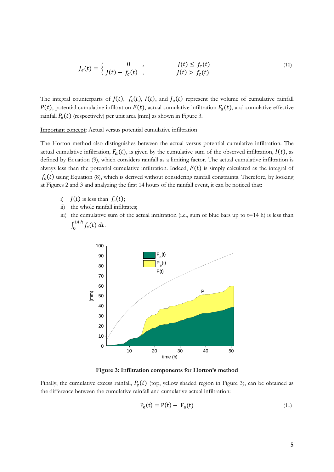$$
J_e(t) = \begin{cases} 0 & , & J(t) \le f_c(t) \\ J(t) - f_c(t) & , & J(t) > f_c(t) \end{cases}
$$
 (10)

The integral counterparts of  $J(t)$ ,  $f_c(t)$ ,  $I(t)$ , and  $J_e(t)$  represent the volume of cumulative rainfall  $P(t)$ , potential cumulative infiltration  $F(t)$ , actual cumulative infiltration  $F_a(t)$ , and cumulative effective rainfall  $P_e(t)$  (respectively) per unit area [mm] as shown in Figure 3.

Important concept: Actual versus potential cumulative infiltration

The Horton method also distinguishes between the actual versus potential cumulative infiltration. The actual cumulative infiltration,  $F_a(t)$ , is given by the cumulative sum of the observed infiltration,  $I(t)$ , as defined by Equation (9), which considers rainfall as a limiting factor. The actual cumulative infiltration is always less than the potential cumulative infiltration. Indeed,  $F(t)$  is simply calculated as the integral of  $f_c(t)$  using Equation (8), which is derived without considering rainfall constraints. Therefore, by looking at Figures 2 and 3 and analyzing the first 14 hours of the rainfall event, it can be noticed that:

- i)  $J(t)$  is less than  $f_c(t)$ ;
- ii) the whole rainfall infiltrates;
- iii) the cumulative sum of the actual infiltration (i.e., sum of blue bars up to  $t=14$  h) is less than  $\int_0^{14\pi} f_c(t) dt$ .



**Figure 3: Infiltration components for Horton's method**

Finally, the cumulative excess rainfall,  $P_e(t)$  (top, yellow shaded region in Figure 3), can be obtained as the difference between the cumulative rainfall and cumulative actual infiltration:

$$
P_e(t) = P(t) - F_a(t) \tag{11}
$$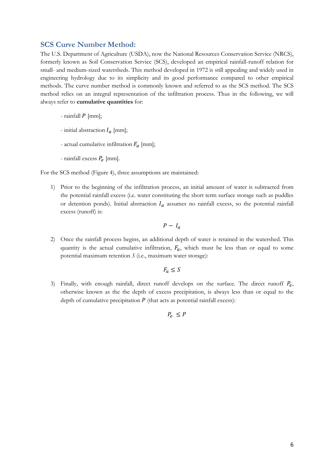## **SCS Curve Number Method:**

The U.S. Department of Agriculture (USDA), now the National Resources Conservation Service (NRCS), formerly known as Soil Conservation Service (SCS), developed an empirical rainfall-runoff relation for small- and medium-sized watersheds. This method developed in 1972 is still appealing and widely used in engineering hydrology due to its simplicity and its good performance compared to other empirical methods. The curve number method is commonly known and referred to as the SCS method. The SCS method relies on an integral representation of the infiltration process. Thus in the following, we will always refer to **cumulative quantities** for:

- rainfall  $P$  [mm];
- initial abstraction  $I_a$  [mm];
- actual cumulative infiltration  $F_a$  [mm];
- rainfall excess  $P_e$  [mm].

For the SCS method (Figure 4), three assumptions are maintained:

1) Prior to the beginning of the infiltration process, an initial amount of water is subtracted from the potential rainfall excess (i.e. water constituting the short term surface storage such as puddles or detention ponds). Initial abstraction  $I_a$  assumes no rainfall excess, so the potential rainfall excess (runoff) is:

$$
P - I_a
$$

2) Once the rainfall process begins, an additional depth of water is retained in the watershed. This quantity is the actual cumulative infiltration,  $F_a$ , which must be less than or equal to some potential maximum retention *S* (i.e., maximum water storage):

$$
F_a \leq S
$$

3) Finally, with enough rainfall, direct runoff develops on the surface. The direct runoff  $P_e$ , otherwise known as the the depth of excess precipitation, is always less than or equal to the depth of cumulative precipitation  $P$  (that acts as potential rainfall excess):

 $P_{\rho} \leq P$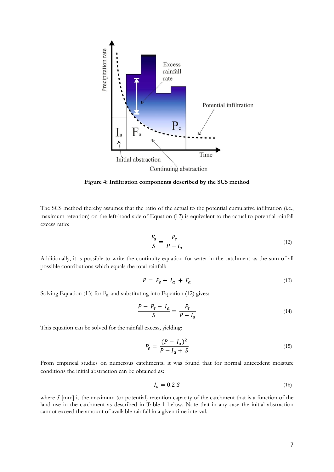

**Figure 4: Infiltration components described by the SCS method**

The SCS method thereby assumes that the ratio of the actual to the potential cumulative infiltration (i.e., maximum retention) on the left-hand side of Equation (12) is equivalent to the actual to potential rainfall excess ratio:

$$
\frac{F_a}{S} = \frac{P_e}{P - I_a} \tag{12}
$$

Additionally, it is possible to write the continuity equation for water in the catchment as the sum of all possible contributions which equals the total rainfall:

$$
P = P_e + I_a + F_a \tag{13}
$$

Solving Equation (13) for  $F_a$  and substituting into Equation (12) gives:

$$
\frac{P - P_e - I_a}{S} = \frac{P_e}{P - I_a} \tag{14}
$$

This equation can be solved for the rainfall excess, yielding:

$$
P_e = \frac{(P - I_a)^2}{P - I_a + S} \tag{15}
$$

From empirical studies on numerous catchments, it was found that for normal antecedent moisture conditions the initial abstraction can be obtained as:

$$
I_a = 0.2 S \tag{16}
$$

where  $S$  [mm] is the maximum (or potential) retention capacity of the catchment that is a function of the land use in the catchment as described in Table 1 below. Note that in any case the initial abstraction cannot exceed the amount of available rainfall in a given time interval.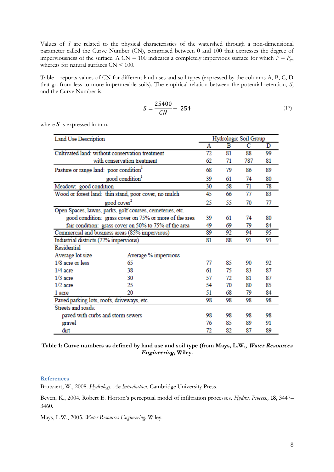Values of *S* are related to the physical characteristics of the watershed through a non-dimensional parameter called the Curve Number (CN), comprised between 0 and 100 that expresses the degree of imperviousness of the surface. A CN = 100 indicates a completely impervious surface for which  $P = P_e$ , whereas for natural surfaces  $CN < 100$ .

Table 1 reports values of CN for different land uses and soil types (expressed by the columns A, B, C, D that go from less to more impermeable soils). The empirical relation between the potential retention, *S*, and the Curve Number is:

$$
S = \frac{25400}{CN} - 254\tag{17}
$$

where  $S$  is expressed in mm.

| Land Use Description                                      |                      | Hydrologic Soil Group |    |     |    |
|-----------------------------------------------------------|----------------------|-----------------------|----|-----|----|
|                                                           |                      | A                     | в  | С   | D  |
| Cultivated land: without conservation treatment           |                      | 72                    | 81 | 88  | 99 |
| with conservation treatment                               |                      | 62                    | 71 | 787 | 81 |
| Pasture or range land: poor condition'                    |                      | 68                    | 79 | 86  | 89 |
| good condition <sup>1</sup>                               |                      |                       | 61 | 74  | 80 |
| Meadow: good condition                                    |                      | 30                    | 58 | 71  | 78 |
| Wood or forest land: thin stand, poor cover, no mulch     |                      | 45                    | 66 | 77  | 83 |
| good cover <sup>2</sup>                                   |                      | 25                    | 55 | 70  | 77 |
| Open Spaces, lawns, parks, golf courses, cemeteries, etc. |                      |                       |    |     |    |
| good condition: grass cover on 75% or more of the area    |                      | 39                    | 61 | 74  | 80 |
| fair condition: grass cover on 50% to 75% of the area     |                      | 49                    | 69 | 79  | 84 |
| Commercial and business areas (85% impervious)            |                      | 89                    | 92 | 94  | 95 |
| Industrial districts (72% impervious)                     |                      | 81                    | 88 | 91  | 93 |
| Residential                                               |                      |                       |    |     |    |
| Average lot size                                          | Average % impervious |                       |    |     |    |
| $1/8$ acre or less                                        | 65                   | 77                    | 85 | 90  | 92 |
| $1/4$ acre                                                | 38                   | 61                    | 75 | 83  | 87 |
| $1/3$ acre                                                | 30                   | 57                    | 72 | 81  | 87 |
| $1/2$ acre                                                | 25                   | 54                    | 70 | 80  | 85 |
| 1 acre                                                    | 20                   | 51                    | 68 | 79  | 84 |
| Paved parking lots, roofs, driveways, etc.                |                      | 98                    | 98 | 98  | 98 |
| Streets and roads:                                        |                      |                       |    |     |    |
| paved with curbs and storm sewers                         |                      | 98                    | 98 | 98  | 98 |
| gravel                                                    |                      | 76                    | 85 | 89  | 91 |
| dirt                                                      |                      | 72                    | 82 | 87  | 89 |

#### **Table 1: Curve numbers as defined by land use and soil type (from Mays, L.W., Water Resources Engineering, Wiley.**

#### **References**

Brutsaert, W., 2008. *Hydrology. An Introduction*. Cambridge University Press.

Beven, K., 2004. Robert E. Horton's perceptual model of infiltration processes. *Hydrol. Process.,* **18**, 3447– 3460.

Mays, L.W., 2005. *Water Resources Engineering*. Wiley.